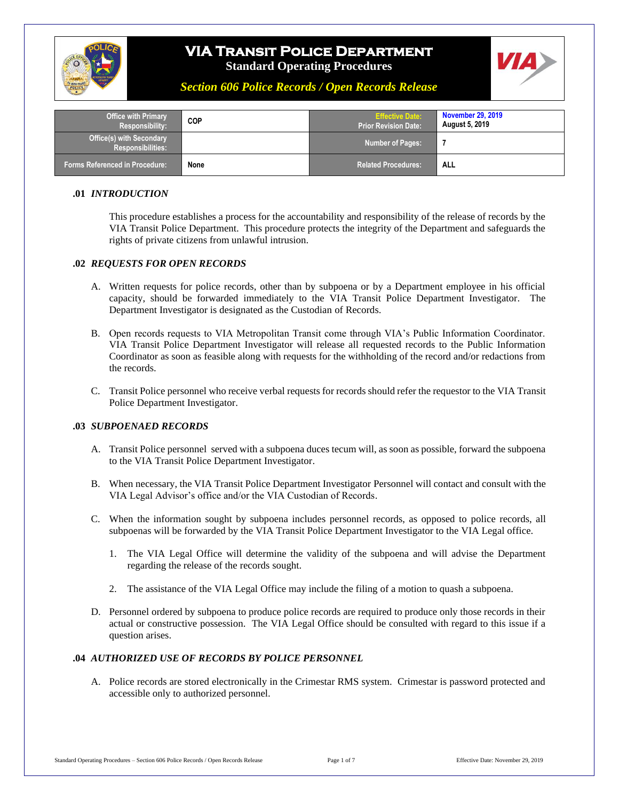



*Section 606 Police Records / Open Records Release*

| <b>Office with Primary</b><br><b>Responsibility:</b>        | <b>COP</b> | <b>Effective Date:</b><br><b>Prior Revision Date:</b> | <b>November 29, 2019</b><br><b>August 5, 2019</b> |
|-------------------------------------------------------------|------------|-------------------------------------------------------|---------------------------------------------------|
| <b>Office(s) with Secondary</b><br><b>Responsibilities:</b> |            | <b>Number of Pages:</b>                               |                                                   |
| <b>Forms Referenced in Procedure:</b>                       | None       | <b>Related Procedures:</b>                            | <b>ALL</b>                                        |

#### **.01** *INTRODUCTION*

This procedure establishes a process for the accountability and responsibility of the release of records by the VIA Transit Police Department. This procedure protects the integrity of the Department and safeguards the rights of private citizens from unlawful intrusion.

#### **.02** *REQUESTS FOR OPEN RECORDS*

- A. Written requests for police records, other than by subpoena or by a Department employee in his official capacity, should be forwarded immediately to the VIA Transit Police Department Investigator. The Department Investigator is designated as the Custodian of Records.
- B. Open records requests to VIA Metropolitan Transit come through VIA's Public Information Coordinator. VIA Transit Police Department Investigator will release all requested records to the Public Information Coordinator as soon as feasible along with requests for the withholding of the record and/or redactions from the records.
- C. Transit Police personnel who receive verbal requests for records should refer the requestor to the VIA Transit Police Department Investigator.

#### **.03** *SUBPOENAED RECORDS*

- A. Transit Police personnel served with a subpoena duces tecum will, as soon as possible, forward the subpoena to the VIA Transit Police Department Investigator.
- B. When necessary, the VIA Transit Police Department Investigator Personnel will contact and consult with the VIA Legal Advisor's office and/or the VIA Custodian of Records.
- C. When the information sought by subpoena includes personnel records, as opposed to police records, all subpoenas will be forwarded by the VIA Transit Police Department Investigator to the VIA Legal office.
	- 1. The VIA Legal Office will determine the validity of the subpoena and will advise the Department regarding the release of the records sought.
	- 2. The assistance of the VIA Legal Office may include the filing of a motion to quash a subpoena.
- D. Personnel ordered by subpoena to produce police records are required to produce only those records in their actual or constructive possession. The VIA Legal Office should be consulted with regard to this issue if a question arises.

#### **.04** *AUTHORIZED USE OF RECORDS BY POLICE PERSONNEL*

A. Police records are stored electronically in the Crimestar RMS system. Crimestar is password protected and accessible only to authorized personnel.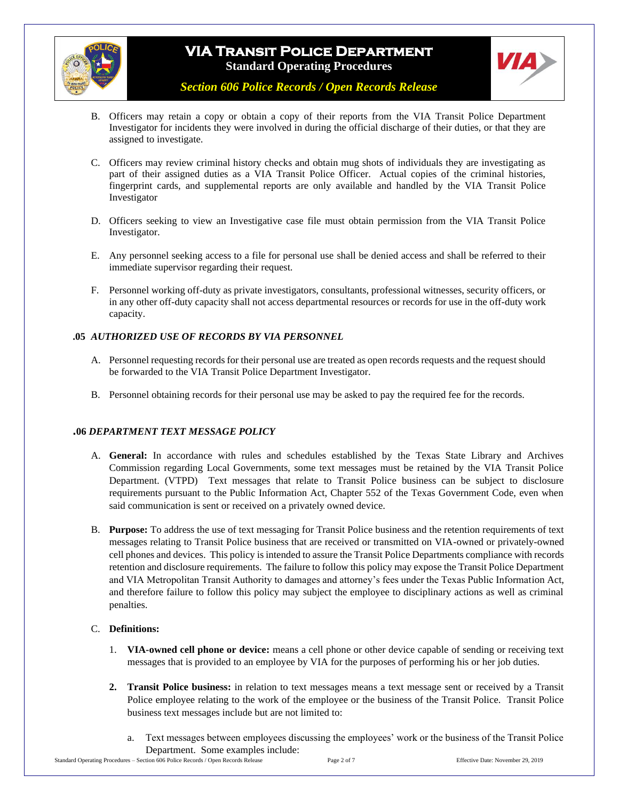



*Section 606 Police Records / Open Records Release*

- B. Officers may retain a copy or obtain a copy of their reports from the VIA Transit Police Department Investigator for incidents they were involved in during the official discharge of their duties, or that they are assigned to investigate.
- C. Officers may review criminal history checks and obtain mug shots of individuals they are investigating as part of their assigned duties as a VIA Transit Police Officer. Actual copies of the criminal histories, fingerprint cards, and supplemental reports are only available and handled by the VIA Transit Police Investigator
- D. Officers seeking to view an Investigative case file must obtain permission from the VIA Transit Police Investigator.
- E. Any personnel seeking access to a file for personal use shall be denied access and shall be referred to their immediate supervisor regarding their request.
- F. Personnel working off-duty as private investigators, consultants, professional witnesses, security officers, or in any other off-duty capacity shall not access departmental resources or records for use in the off-duty work capacity.

### **.05** *AUTHORIZED USE OF RECORDS BY VIA PERSONNEL*

- A. Personnel requesting records for their personal use are treated as open records requests and the request should be forwarded to the VIA Transit Police Department Investigator.
- B. Personnel obtaining records for their personal use may be asked to pay the required fee for the records.

#### **.06** *DEPARTMENT TEXT MESSAGE POLICY*

- A. **General:** In accordance with rules and schedules established by the Texas State Library and Archives Commission regarding Local Governments, some text messages must be retained by the VIA Transit Police Department. (VTPD) Text messages that relate to Transit Police business can be subject to disclosure requirements pursuant to the Public Information Act, Chapter 552 of the Texas Government Code, even when said communication is sent or received on a privately owned device.
- B. **Purpose:** To address the use of text messaging for Transit Police business and the retention requirements of text messages relating to Transit Police business that are received or transmitted on VIA-owned or privately-owned cell phones and devices. This policy is intended to assure the Transit Police Departments compliance with records retention and disclosure requirements. The failure to follow this policy may expose the Transit Police Department and VIA Metropolitan Transit Authority to damages and attorney's fees under the Texas Public Information Act, and therefore failure to follow this policy may subject the employee to disciplinary actions as well as criminal penalties.

#### C. **Definitions:**

- 1. **VIA-owned cell phone or device:** means a cell phone or other device capable of sending or receiving text messages that is provided to an employee by VIA for the purposes of performing his or her job duties.
- **2. Transit Police business:** in relation to text messages means a text message sent or received by a Transit Police employee relating to the work of the employee or the business of the Transit Police. Transit Police business text messages include but are not limited to:
	- Text messages between employees discussing the employees' work or the business of the Transit Police Department. Some examples include: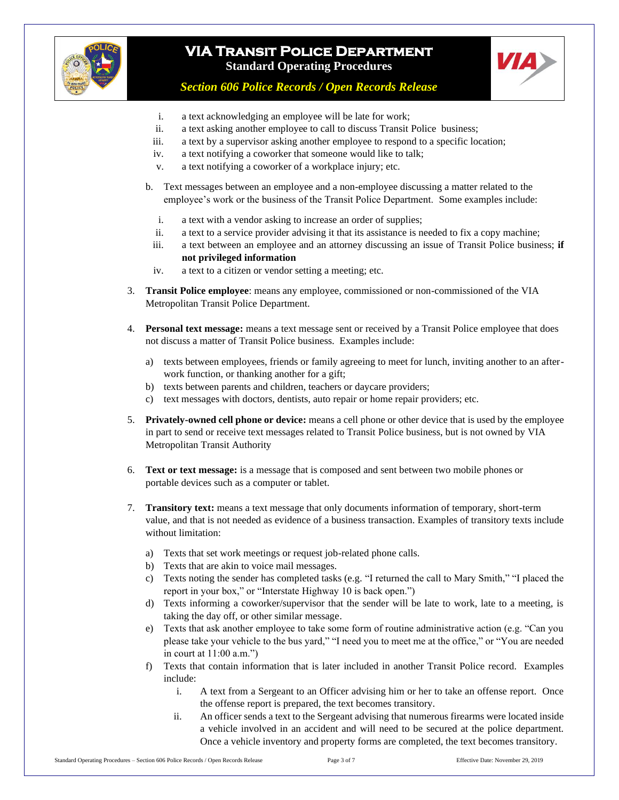



*Section 606 Police Records / Open Records Release*

- i. a text acknowledging an employee will be late for work;
- ii. a text asking another employee to call to discuss Transit Police business;
- iii. a text by a supervisor asking another employee to respond to a specific location;
- iv. a text notifying a coworker that someone would like to talk;
- v. a text notifying a coworker of a workplace injury; etc.
- b. Text messages between an employee and a non-employee discussing a matter related to the employee's work or the business of the Transit Police Department. Some examples include:
	- i. a text with a vendor asking to increase an order of supplies;
- ii. a text to a service provider advising it that its assistance is needed to fix a copy machine;
- iii. a text between an employee and an attorney discussing an issue of Transit Police business; **if not privileged information**
- iv. a text to a citizen or vendor setting a meeting; etc.
- 3. **Transit Police employee**: means any employee, commissioned or non-commissioned of the VIA Metropolitan Transit Police Department.
- 4. **Personal text message:** means a text message sent or received by a Transit Police employee that does not discuss a matter of Transit Police business. Examples include:
	- a) texts between employees, friends or family agreeing to meet for lunch, inviting another to an afterwork function, or thanking another for a gift;
	- b) texts between parents and children, teachers or daycare providers;
	- c) text messages with doctors, dentists, auto repair or home repair providers; etc.
- 5. **Privately-owned cell phone or device:** means a cell phone or other device that is used by the employee in part to send or receive text messages related to Transit Police business, but is not owned by VIA Metropolitan Transit Authority
- 6. **Text or text message:** is a message that is composed and sent between two mobile phones or portable devices such as a computer or tablet.
- 7. **Transitory text:** means a text message that only documents information of temporary, short-term value, and that is not needed as evidence of a business transaction. Examples of transitory texts include without limitation:
	- a) Texts that set work meetings or request job-related phone calls.
	- b) Texts that are akin to voice mail messages.
	- c) Texts noting the sender has completed tasks (e.g. "I returned the call to Mary Smith," "I placed the report in your box," or "Interstate Highway 10 is back open.")
	- d) Texts informing a coworker/supervisor that the sender will be late to work, late to a meeting, is taking the day off, or other similar message.
	- e) Texts that ask another employee to take some form of routine administrative action (e.g. "Can you please take your vehicle to the bus yard," "I need you to meet me at the office," or "You are needed in court at  $11:00$  a.m.")
	- f) Texts that contain information that is later included in another Transit Police record. Examples include:
		- i. A text from a Sergeant to an Officer advising him or her to take an offense report. Once the offense report is prepared, the text becomes transitory.
		- ii. An officer sends a text to the Sergeant advising that numerous firearms were located inside a vehicle involved in an accident and will need to be secured at the police department. Once a vehicle inventory and property forms are completed, the text becomes transitory.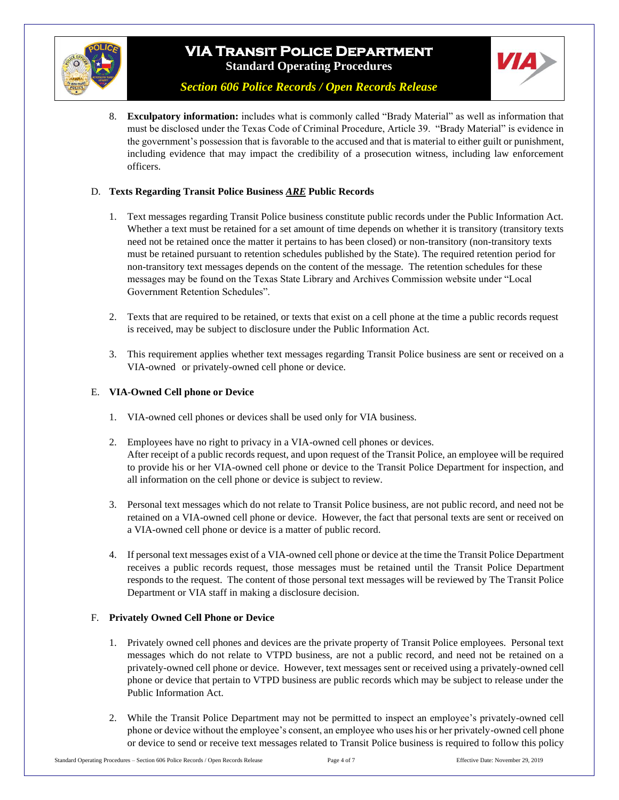



*Section 606 Police Records / Open Records Release*

8. **Exculpatory information:** includes what is commonly called "Brady Material" as well as information that must be disclosed under the Texas Code of Criminal Procedure, Article 39. "Brady Material" is evidence in the government's possession that is favorable to the accused and that is material to either guilt or punishment, including evidence that may impact the credibility of a prosecution witness, including law enforcement officers.

### D. **Texts Regarding Transit Police Business** *ARE* **Public Records**

- 1. Text messages regarding Transit Police business constitute public records under the Public Information Act. Whether a text must be retained for a set amount of time depends on whether it is transitory (transitory texts need not be retained once the matter it pertains to has been closed) or non-transitory (non-transitory texts must be retained pursuant to retention schedules published by the State). The required retention period for non-transitory text messages depends on the content of the message. The retention schedules for these messages may be found on the Texas State Library and Archives Commission website under "Local Government Retention Schedules".
- 2. Texts that are required to be retained, or texts that exist on a cell phone at the time a public records request is received, may be subject to disclosure under the Public Information Act.
- 3. This requirement applies whether text messages regarding Transit Police business are sent or received on a VIA-owned or privately-owned cell phone or device.

### E. **VIA-Owned Cell phone or Device**

- 1. VIA-owned cell phones or devices shall be used only for VIA business.
- 2. Employees have no right to privacy in a VIA-owned cell phones or devices. After receipt of a public records request, and upon request of the Transit Police, an employee will be required to provide his or her VIA-owned cell phone or device to the Transit Police Department for inspection, and all information on the cell phone or device is subject to review.
- 3. Personal text messages which do not relate to Transit Police business, are not public record, and need not be retained on a VIA-owned cell phone or device. However, the fact that personal texts are sent or received on a VIA-owned cell phone or device is a matter of public record.
- 4. If personal text messages exist of a VIA-owned cell phone or device at the time the Transit Police Department receives a public records request, those messages must be retained until the Transit Police Department responds to the request. The content of those personal text messages will be reviewed by The Transit Police Department or VIA staff in making a disclosure decision.

#### F. **Privately Owned Cell Phone or Device**

- 1. Privately owned cell phones and devices are the private property of Transit Police employees. Personal text messages which do not relate to VTPD business, are not a public record, and need not be retained on a privately-owned cell phone or device. However, text messages sent or received using a privately-owned cell phone or device that pertain to VTPD business are public records which may be subject to release under the Public Information Act.
- 2. While the Transit Police Department may not be permitted to inspect an employee's privately-owned cell phone or device without the employee's consent, an employee who uses his or her privately-owned cell phone or device to send or receive text messages related to Transit Police business is required to follow this policy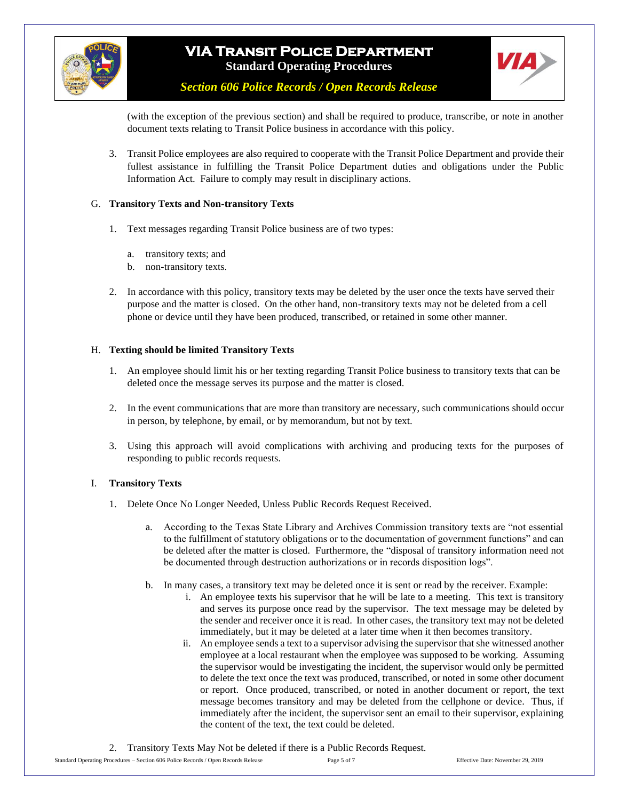



*Section 606 Police Records / Open Records Release*

(with the exception of the previous section) and shall be required to produce, transcribe, or note in another document texts relating to Transit Police business in accordance with this policy.

3. Transit Police employees are also required to cooperate with the Transit Police Department and provide their fullest assistance in fulfilling the Transit Police Department duties and obligations under the Public Information Act. Failure to comply may result in disciplinary actions.

### G. **Transitory Texts and Non-transitory Texts**

- 1. Text messages regarding Transit Police business are of two types:
	- a. transitory texts; and
	- b. non-transitory texts.
- 2. In accordance with this policy, transitory texts may be deleted by the user once the texts have served their purpose and the matter is closed. On the other hand, non-transitory texts may not be deleted from a cell phone or device until they have been produced, transcribed, or retained in some other manner.

### H. **Texting should be limited Transitory Texts**

- 1. An employee should limit his or her texting regarding Transit Police business to transitory texts that can be deleted once the message serves its purpose and the matter is closed.
- 2. In the event communications that are more than transitory are necessary, such communications should occur in person, by telephone, by email, or by memorandum, but not by text.
- 3. Using this approach will avoid complications with archiving and producing texts for the purposes of responding to public records requests.

#### I. **Transitory Texts**

- 1. Delete Once No Longer Needed, Unless Public Records Request Received.
	- a. According to the Texas State Library and Archives Commission transitory texts are "not essential to the fulfillment of statutory obligations or to the documentation of government functions" and can be deleted after the matter is closed. Furthermore, the "disposal of transitory information need not be documented through destruction authorizations or in records disposition logs".
	- b. In many cases, a transitory text may be deleted once it is sent or read by the receiver. Example:
		- i. An employee texts his supervisor that he will be late to a meeting. This text is transitory and serves its purpose once read by the supervisor. The text message may be deleted by the sender and receiver once it is read. In other cases, the transitory text may not be deleted immediately, but it may be deleted at a later time when it then becomes transitory.
		- ii. An employee sends a text to a supervisor advising the supervisor that she witnessed another employee at a local restaurant when the employee was supposed to be working. Assuming the supervisor would be investigating the incident, the supervisor would only be permitted to delete the text once the text was produced, transcribed, or noted in some other document or report. Once produced, transcribed, or noted in another document or report, the text message becomes transitory and may be deleted from the cellphone or device. Thus, if immediately after the incident, the supervisor sent an email to their supervisor, explaining the content of the text, the text could be deleted.

2. Transitory Texts May Not be deleted if there is a Public Records Request.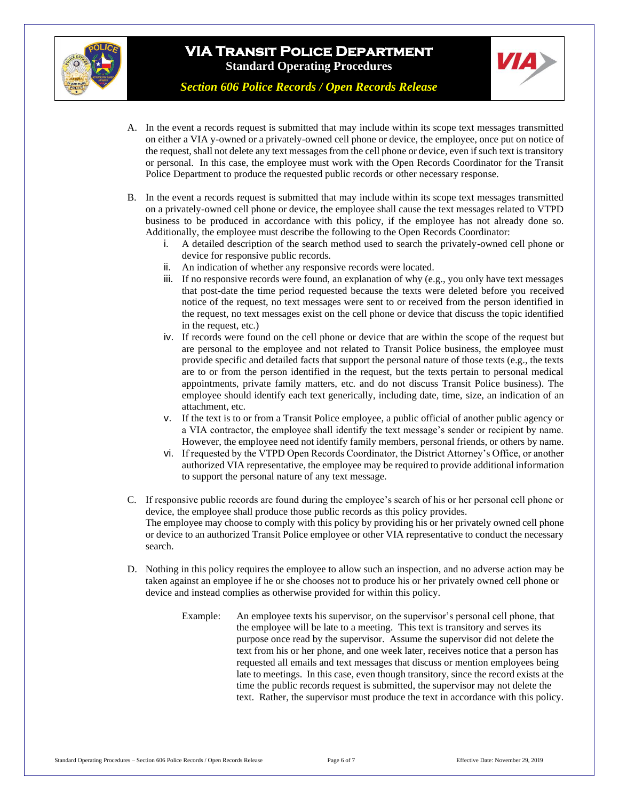



*Section 606 Police Records / Open Records Release*

- A. In the event a records request is submitted that may include within its scope text messages transmitted on either a VIA y-owned or a privately-owned cell phone or device, the employee, once put on notice of the request, shall not delete any text messages from the cell phone or device, even if such text is transitory or personal. In this case, the employee must work with the Open Records Coordinator for the Transit Police Department to produce the requested public records or other necessary response.
- B. In the event a records request is submitted that may include within its scope text messages transmitted on a privately-owned cell phone or device, the employee shall cause the text messages related to VTPD business to be produced in accordance with this policy, if the employee has not already done so. Additionally, the employee must describe the following to the Open Records Coordinator:
	- i. A detailed description of the search method used to search the privately-owned cell phone or device for responsive public records.
	- ii. An indication of whether any responsive records were located.
	- iii. If no responsive records were found, an explanation of why (e.g., you only have text messages that post-date the time period requested because the texts were deleted before you received notice of the request, no text messages were sent to or received from the person identified in the request, no text messages exist on the cell phone or device that discuss the topic identified in the request, etc.)
	- iv. If records were found on the cell phone or device that are within the scope of the request but are personal to the employee and not related to Transit Police business, the employee must provide specific and detailed facts that support the personal nature of those texts (e.g., the texts are to or from the person identified in the request, but the texts pertain to personal medical appointments, private family matters, etc. and do not discuss Transit Police business). The employee should identify each text generically, including date, time, size, an indication of an attachment, etc.
	- v. If the text is to or from a Transit Police employee, a public official of another public agency or a VIA contractor, the employee shall identify the text message's sender or recipient by name. However, the employee need not identify family members, personal friends, or others by name.
	- vi. If requested by the VTPD Open Records Coordinator, the District Attorney's Office, or another authorized VIA representative, the employee may be required to provide additional information to support the personal nature of any text message.
- C. If responsive public records are found during the employee's search of his or her personal cell phone or device, the employee shall produce those public records as this policy provides. The employee may choose to comply with this policy by providing his or her privately owned cell phone or device to an authorized Transit Police employee or other VIA representative to conduct the necessary search.
- D. Nothing in this policy requires the employee to allow such an inspection, and no adverse action may be taken against an employee if he or she chooses not to produce his or her privately owned cell phone or device and instead complies as otherwise provided for within this policy.
	- Example: An employee texts his supervisor, on the supervisor's personal cell phone, that the employee will be late to a meeting. This text is transitory and serves its purpose once read by the supervisor. Assume the supervisor did not delete the text from his or her phone, and one week later, receives notice that a person has requested all emails and text messages that discuss or mention employees being late to meetings. In this case, even though transitory, since the record exists at the time the public records request is submitted, the supervisor may not delete the text. Rather, the supervisor must produce the text in accordance with this policy.